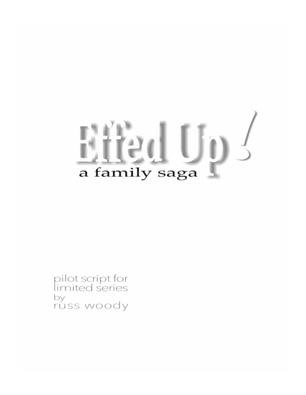# a family saga

pilot script for<br>limited series by russ woody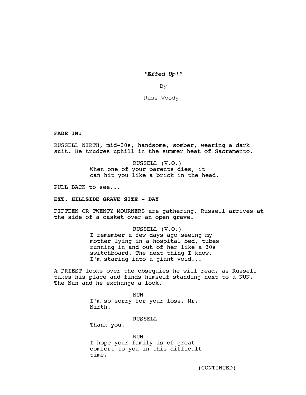*"Effed Up!"*

By

Russ Woody

**FADE IN:**

RUSSELL NIRTH, mid-30s, handsome, somber, wearing a dark suit. He trudges uphill in the summer heat of Sacramento.

> RUSSELL (V.O.) When one of your parents dies, it can hit you like a brick in the head.

PULL BACK to see...

## **EXT. HILLSIDE GRAVE SITE - DAY**

FIFTEEN OR TWENTY MOURNERS are gathering. Russell arrives at the side of a casket over an open grave.

> RUSSELL (V.O.) I remember a few days ago seeing my

mother lying in a hospital bed, tubes running in and out of her like a 30s switchboard. The next thing I know, I'm staring into a giant void...

A PRIEST looks over the obsequies he will read, as Russell takes his place and finds himself standing next to a NUN. The Nun and he exchange a look.

> NUN I'm so sorry for your loss, Mr. Nirth.

> > RUSSELL

Thank you.

NUN I hope your family is of great comfort to you in this difficult time.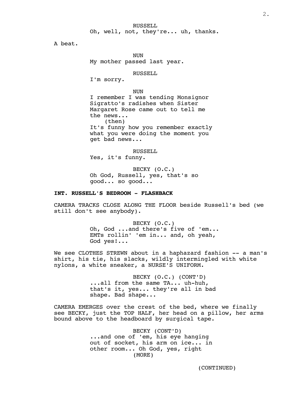RUSSELL Oh, well, not, they're... uh, thanks.

A beat.

NUN My mother passed last year.

RUSSELL

I'm sorry.

```
NUN
```
I remember I was tending Monsignor Sigratto's radishes when Sister Margaret Rose came out to tell me the news... (then) It's funny how you remember exactly what you were doing the moment you get bad news...

RUSSELL Yes, it's funny.

BECKY (O.C.) Oh God, Russell, yes, that's so good... so good...

# **INT. RUSSELL'S BEDROOM - FLASHBACK**

CAMERA TRACKS CLOSE ALONG THE FLOOR beside Russell's bed (we still don't see anybody).

> BECKY (O.C.) Oh, God ...and there's five of 'em... EMTs rollin' 'em in... and, oh yeah, God yes!...

We see CLOTHES STREWN about in a haphazard fashion -- a man's shirt, his tie, his slacks, wildly intermingled with white nylons, a white sneaker, a NURSE'S UNIFORM.

> BECKY (O.C.) (CONT'D) ...all from the same TA... uh-huh, that's it, yes... they're all in bad shape. Bad shape...

CAMERA EMERGES over the crest of the bed, where we finally see BECKY, just the TOP HALF, her head on a pillow, her arms bound above to the headboard by surgical tape.

> BECKY (CONT'D) ...and one of 'em, his eye hanging out of socket, his arm on ice... in other room... Oh God, yes, right (MORE)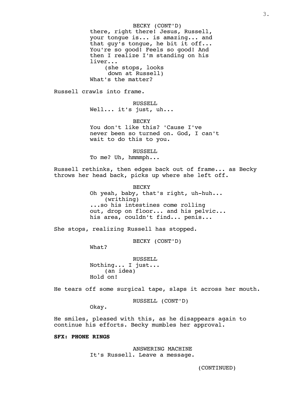BECKY (CONT'D) there, right there! Jesus, Russell, your tongue is... is amazing... and that guy's tongue, he bit it off... You're so good! Feels so good! And then I realize I'm standing on his liver... (she stops, looks down at Russell) What's the matter?

Russell crawls into frame.

RUSSELL Well... it's just, uh...

**BECKY** You don't like this? 'Cause I've never been so turned on. God, I can't wait to do this to you.

RUSSELL To me? Uh, hmmmph...

Russell rethinks, then edges back out of frame... as Becky throws her head back, picks up where she left off.

> BECKY Oh yeah, baby, that's right, uh-huh... (writhing) ...so his intestines come rolling out, drop on floor... and his pelvic... his area, couldn't find... penis...

She stops, realizing Russell has stopped.

BECKY (CONT'D)

What?

RUSSELL Nothing... I just... (an idea) Hold on!

He tears off some surgical tape, slaps it across her mouth.

RUSSELL (CONT'D)

Okay.

He smiles, pleased with this, as he disappears again to continue his efforts. Becky mumbles her approval.

**SFX: PHONE RINGS**

ANSWERING MACHINE It's Russell. Leave a message.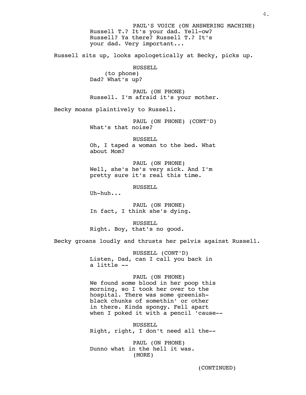PAUL'S VOICE (ON ANSWERING MACHINE) Russell T.? It's your dad. Yell-ow? Russell? Ya there? Russell T.? It's your dad. Very important... Russell sits up, looks apologetically at Becky, picks up. RUSSELL (to phone) Dad? What's up? PAUL (ON PHONE) Russell. I'm afraid it's your mother. Becky moans plaintively to Russell. PAUL (ON PHONE) (CONT'D) What's that noise? RUSSELL Oh, I taped a woman to the bed. What about Mom? PAUL (ON PHONE) Well, she's he's very sick. And I'm pretty sure it's real this time. RUSSELL Uh-huh... PAUL (ON PHONE) In fact, I think she's dying. RUSSELL Right. Boy, that's no good. Becky groans loudly and thrusts her pelvis against Russell. RUSSELL (CONT'D) Listen, Dad, can I call you back in a little -- PAUL (ON PHONE) We found some blood in her poop this morning, so I took her over to the hospital. There was some greenishblack chunks of somethin' or other in there. Kinda spongy. Fell apart when I poked it with a pencil 'cause-- RUSSELL Right, right, I don't need all the--

> PAUL (ON PHONE) Dunno what in the hell it was. (MORE)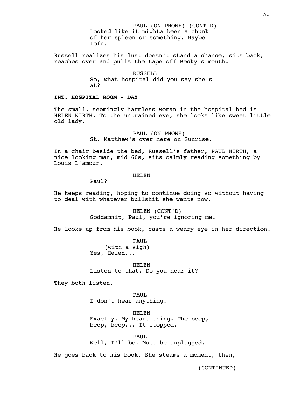PAUL (ON PHONE) (CONT'D) Looked like it mighta been a chunk of her spleen or something. Maybe tofu.

Russell realizes his lust doesn't stand a chance, sits back, reaches over and pulls the tape off Becky's mouth.

> RUSSELL So, what hospital did you say she's at?

# **INT. HOSPITAL ROOM - DAY**

The small, seemingly harmless woman in the hospital bed is HELEN NIRTH. To the untrained eye, she looks like sweet little old lady.

> PAUL (ON PHONE) St. Matthew's over here on Sunrise.

In a chair beside the bed, Russell's father, PAUL NIRTH, a nice looking man, mid 60s, sits calmly reading something by Louis L'amour.

#### HELEN

Paul?

He keeps reading, hoping to continue doing so without having to deal with whatever bullshit she wants now.

> HELEN (CONT'D) Goddamnit, Paul, you're ignoring me!

He looks up from his book, casts a weary eye in her direction.

PAUL (with a sigh) Yes, Helen...

HELEN Listen to that. Do you hear it?

They both listen.

PAUL I don't hear anything.

HELEN Exactly. My heart thing. The beep, beep, beep... It stopped.

PAUL Well, I'll be. Must be unplugged.

He goes back to his book. She steams a moment, then,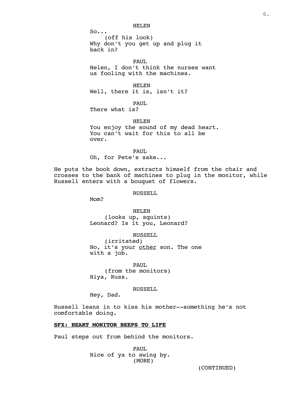HELEN

 $So...$ (off his look) Why don't you get up and plug it back in?

PAUL Helen, I don't think the nurses want us fooling with the machines.

HELEN Well, there it is, isn't it?

PAUL There what is?

HELEN You enjoy the sound of my dead heart. You can't wait for this to all be over.

PAUL Oh, for Pete's sake...

He puts the book down, extracts himself from the chair and crosses to the bank of machines to plug in the monitor, while Russell enters with a bouquet of flowers.

RUSSELL

M<sub>O</sub>m?

HELEN (looks up, squints) Leonard? Is it you, Leonard?

RUSSELL (irritated) No, it's your other son. The one with a job.

PAUL. (from the monitors) Hiya, Russ.

RUSSELL

Hey, Dad.

Russell leans in to kiss his mother--something he's not comfortable doing.

# **SFX: HEART MONITOR BEEPS TO LIFE**

Paul steps out from behind the monitors.

PAUL Nice of ya to swing by. (MORE)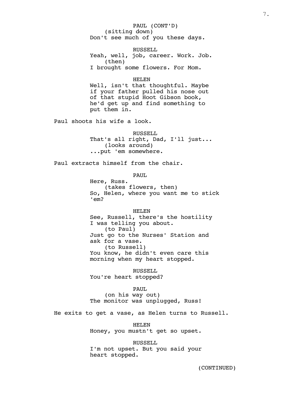PAUL (CONT'D) (sitting down) Don't see much of you these days.

RUSSELL Yeah, well, job, career. Work. Job. (then) I brought some flowers. For Mom.

#### HELEN

Well, isn't that thoughtful. Maybe if your father pulled his nose out of that stupid Hoot Gibson book, he'd get up and find something to put them in.

Paul shoots his wife a look.

RUSSELL. That's all right, Dad, I'll just... (looks around) ...put 'em somewhere.

Paul extracts himself from the chair.

PAUL

Here, Russ. (takes flowers, then) So, Helen, where you want me to stick 'em?

#### HELEN

See, Russell, there's the hostility I was telling you about. (to Paul) Just go to the Nurses' Station and ask for a vase. (to Russell) You know, he didn't even care this morning when my heart stopped.

RUSSELL You're heart stopped?

#### PAUL

(on his way out) The monitor was unplugged, Russ!

He exits to get a vase, as Helen turns to Russell.

HELEN Honey, you mustn't get so upset.

RUSSELL I'm not upset. But you said your heart stopped.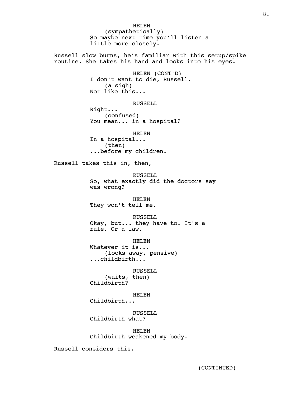HELEN (sympathetically) So maybe next time you'll listen a little more closely. Russell slow burns, he's familiar with this setup/spike routine. She takes his hand and looks into his eyes. HELEN (CONT'D) I don't want to die, Russell. (a sigh) Not like this... RUSSELL Right... (confused) You mean... in a hospital? HELEN In a hospital... (then) ...before my children. Russell takes this in, then, RUSSELL So, what exactly did the doctors say was wrong? HELEN They won't tell me. RUSSELL Okay, but... they have to. It's a rule. Or a law. HELEN Whatever it is... (looks away, pensive) ...childbirth... RUSSELL (waits, then) Childbirth? HELEN Childbirth... RUSSELL Childbirth what? HELEN Childbirth weakened my body.

Russell considers this.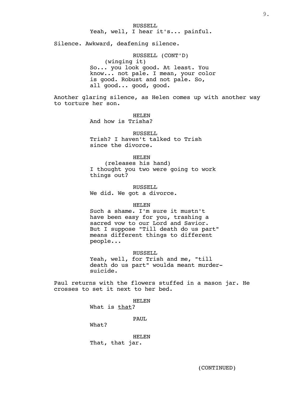Silence. Awkward, deafening silence.

RUSSELL (CONT'D) (winging it) So... you look good. At least. You know... not pale. I mean, your color is good. Robust and not pale. So, all good... good, good.

Another glaring silence, as Helen comes up with another way to torture her son.

> HELEN And how is Trisha?

RUSSELL. Trish? I haven't talked to Trish since the divorce.

#### HELEN

(releases his hand) I thought you two were going to work things out?

RUSSELL We did. We got a divorce.

#### HELEN

Such a shame. I'm sure it mustn't have been easy for you, trashing a sacred vow to our Lord and Savior. But I suppose "Till death do us part" means different things to different people...

RUSSELL

Yeah, well, for Trish and me, "till death do us part" woulda meant murdersuicide.

Paul returns with the flowers stuffed in a mason jar. He crosses to set it next to her bed.

> HELEN What is that? PAUL What?

HELEN That, that jar.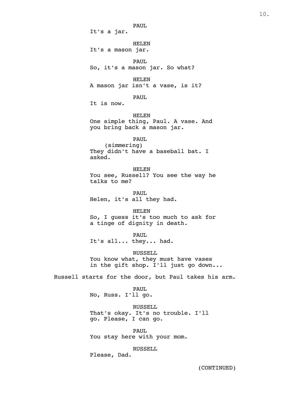PAUL It's a jar. HELEN It's a mason jar. PAUL So, it's a mason jar. So what? HELEN A mason jar isn't a vase, is it? PAUL It is now. HELEN One simple thing, Paul. A vase. And you bring back a mason jar. PAUL (simmering) They didn't have a baseball bat. I asked. HELEN You see, Russell? You see the way he talks to me? PAUL Helen, it's all they had. HELEN So, I guess it's too much to ask for a tinge of dignity in death. PAUL It's all... they... had. RUSSELL You know what, they must have vases in the gift shop. I'll just go down... Russell starts for the door, but Paul takes his arm. PAUL No, Russ. I'll go. RUSSELL That's okay. It's no trouble. I'll go. Please, I can go. PAUL You stay here with your mom. RUSSELL

Please, Dad.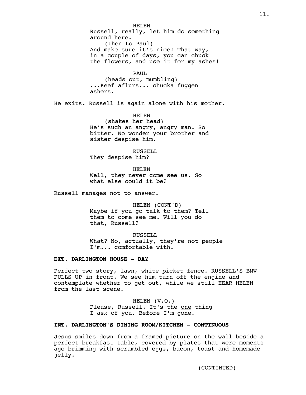HELEN Russell, really, let him do something around here. (then to Paul) And make sure it's nice! That way, in a couple of days, you can chuck the flowers, and use it for my ashes! PAUL

(heads out, mumbling) ...Keef aflurs... chucka fuggen ashers.

He exits. Russell is again alone with his mother.

HELEN

(shakes her head) He's such an angry, angry man. So bitter. No wonder your brother and sister despise him.

RUSSELL They despise him?

HELEN Well, they never come see us. So what else could it be?

Russell manages not to answer.

HELEN (CONT'D) Maybe if you go talk to them? Tell them to come see me. Will you do that, Russell?

RUSSELL. What? No, actually, they're not people I'm... comfortable with.

# **EXT. DARLINGTON HOUSE - DAY**

Perfect two story, lawn, white picket fence. RUSSELL'S BMW PULLS UP in front. We see him turn off the engine and contemplate whether to get out, while we still HEAR HELEN from the last scene.

> HELEN (V.O.) Please, Russell. It's the one thing I ask of you. Before I'm gone.

# **INT. DARLINGTON'S DINING ROOM/KITCHEN - CONTINUOUS**

Jesus smiles down from a framed picture on the wall beside a perfect breakfast table, covered by plates that were moments ago brimming with scrambled eggs, bacon, toast and homemade jelly.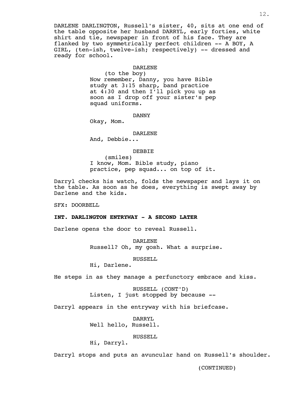DARLENE DARLINGTON, Russell's sister, 40, sits at one end of the table opposite her husband DARRYL, early forties, white shirt and tie, newspaper in front of his face. They are flanked by two symmetrically perfect children -- A BOY, A GIRL, (ten-ish, twelve-ish; respectively) -- dressed and ready for school.

# DARLENE

(to the boy) Now remember, Danny, you have Bible study at 3:15 sharp, band practice at 4:30 and then I'll pick you up as soon as I drop off your sister's pep squad uniforms.

#### DANNY

Okay, Mom.

#### DARLENE

And, Debbie...

#### DEBBIE

(smiles) I know, Mom. Bible study, piano practice, pep squad... on top of it.

Darryl checks his watch, folds the newspaper and lays it on the table. As soon as he does, everything is swept away by Darlene and the kids.

SFX: DOORBELL

## **INT. DARLINGTON ENTRYWAY - A SECOND LATER**

Darlene opens the door to reveal Russell.

DARLENE Russell? Oh, my gosh. What a surprise.

RUSSELL

Hi, Darlene.

He steps in as they manage a perfunctory embrace and kiss.

RUSSELL (CONT'D) Listen, I just stopped by because --

Darryl appears in the entryway with his briefcase.

DARRYL Well hello, Russell.

RUSSELL

Hi, Darryl.

Darryl stops and puts an avuncular hand on Russell's shoulder.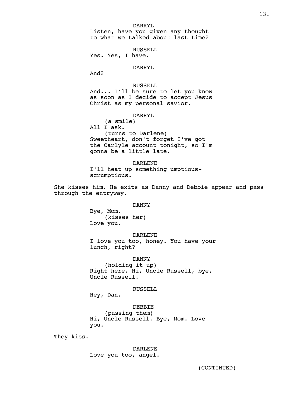#### DARRYL

Listen, have you given any thought to what we talked about last time?

RUSSELL

Yes. Yes, I have.

# DARRYL

And?

# RUSSELL

And... I'll be sure to let you know as soon as I decide to accept Jesus Christ as my personal savior.

# DARRYL

(a smile) All I ask. (turns to Darlene) Sweetheart, don't forget I've got the Carlyle account tonight, so I'm gonna be a little late.

DARLENE I'll heat up something umptiousscrumptious.

She kisses him. He exits as Danny and Debbie appear and pass through the entryway.

#### DANNY

Bye, Mom. (kisses her) Love you.

DARLENE

I love you too, honey. You have your lunch, right?

DANNY (holding it up) Right here. Hi, Uncle Russell, bye, Uncle Russell.

# RUSSELL

Hey, Dan.

DEBBIE (passing them) Hi, Uncle Russell. Bye, Mom. Love you.

They kiss.

DARLENE Love you too, angel.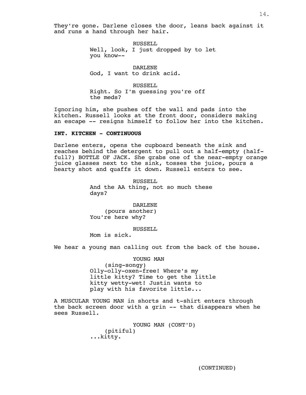They're gone. Darlene closes the door, leans back against it and runs a hand through her hair.

> RUSSELL Well, look, I just dropped by to let you know--

DARLENE God, I want to drink acid.

RUSSELL Right. So I'm guessing you're off the meds?

Ignoring him, she pushes off the wall and pads into the kitchen. Russell looks at the front door, considers making an escape -- resigns himself to follow her into the kitchen.

#### **INT. KITCHEN - CONTINUOUS**

Darlene enters, opens the cupboard beneath the sink and reaches behind the detergent to pull out a half-empty (halffull?) BOTTLE OF JACK. She grabs one of the near-empty orange juice glasses next to the sink, tosses the juice, pours a hearty shot and quaffs it down. Russell enters to see.

> RUSSELL And the AA thing, not so much these days?

DARLENE (pours another) You're here why?

RUSSELL

Mom is sick.

We hear a young man calling out from the back of the house.

YOUNG MAN (sing-songy) Olly-olly-oxen-free! Where's my little kitty? Time to get the little kitty wetty-wet! Justin wants to play with his favorite little...

A MUSCULAR YOUNG MAN in shorts and t-shirt enters through the back screen door with a grin -- that disappears when he sees Russell.

> YOUNG MAN (CONT'D) (pitiful) ...kitty.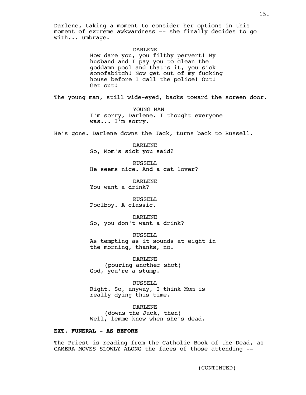Darlene, taking a moment to consider her options in this moment of extreme awkwardness -- she finally decides to go with... umbrage.

### DARLENE

How dare you, you filthy pervert! My husband and I pay you to clean the goddamn pool and that's it, you sick sonofabitch! Now get out of my fucking house before I call the police! Out! Get out!

The young man, still wide-eyed, backs toward the screen door.

YOUNG MAN I'm sorry, Darlene. I thought everyone was... I'm sorry.

He's gone. Darlene downs the Jack, turns back to Russell.

DARLENE So, Mom's sick you said?

RUSSELL He seems nice. And a cat lover?

DARLENE You want a drink?

RUSSELL Poolboy. A classic.

DARLENE So, you don't want a drink?

RUSSELL As tempting as it sounds at eight in the morning, thanks, no.

DARLENE (pouring another shot) God, you're a stump.

RUSSELL Right. So, anyway, I think Mom is really dying this time.

DARLENE (downs the Jack, then) Well, lemme know when she's dead.

# **EXT. FUNERAL - AS BEFORE**

The Priest is reading from the Catholic Book of the Dead, as CAMERA MOVES SLOWLY ALONG the faces of those attending --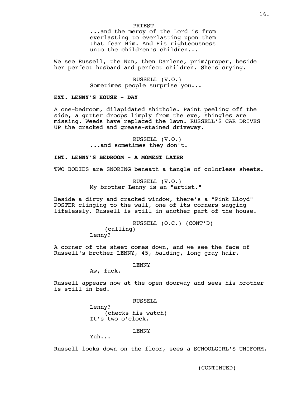# PRIEST

...and the mercy of the Lord is from everlasting to everlasting upon them that fear Him. And His righteousness unto the children's children...

We see Russell, the Nun, then Darlene, prim/proper, beside her perfect husband and perfect children. She's crying.

> RUSSELL (V.O.) Sometimes people surprise you...

# **EXT. LENNY'S HOUSE - DAY**

A one-bedroom, dilapidated shithole. Paint peeling off the side, a qutter droops limply from the eve, shingles are missing. Weeds have replaced the lawn. RUSSELL'S CAR DRIVES UP the cracked and grease-stained driveway.

> RUSSELL (V.O.) ...and sometimes they don't.

# **INT. LENNY'S BEDROOM - A MOMENT LATER**

TWO BODIES are SNORING beneath a tangle of colorless sheets.

RUSSELL (V.O.) My brother Lenny is an "artist."

Beside a dirty and cracked window, there's a "Pink Lloyd" POSTER clinging to the wall, one of its corners sagging lifelessly. Russell is still in another part of the house.

> RUSSELL (O.C.) (CONT'D) (calling) Lenny?

A corner of the sheet comes down, and we see the face of Russell's brother LENNY, 45, balding, long gray hair.

# LENNY

Aw, fuck.

Russell appears now at the open doorway and sees his brother is still in bed.

#### RUSSELL

Lenny? (checks his watch) It's two o'clock.

# LENNY

Yuh...

Russell looks down on the floor, sees a SCHOOLGIRL'S UNIFORM.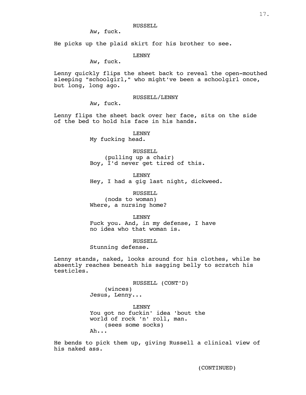Aw, fuck.

He picks up the plaid skirt for his brother to see.

### LENNY

Aw, fuck.

Lenny quickly flips the sheet back to reveal the open-mouthed sleeping "schoolgirl," who might've been a schoolgirl once, but long, long ago.

RUSSELL/LENNY

Aw, fuck.

Lenny flips the sheet back over her face, sits on the side of the bed to hold his face in his hands.

> LENNY My fucking head.

RUSSELL (pulling up a chair) Boy, I'd never get tired of this.

LENNY Hey, I had a gig last night, dickweed.

RUSSELL (nods to woman) Where, a nursing home?

LENNY

Fuck you. And, in my defense, I have no idea who that woman is.

RUSSELL

Stunning defense.

Lenny stands, naked, looks around for his clothes, while he absently reaches beneath his sagging belly to scratch his testicles.

> RUSSELL (CONT'D) (winces) Jesus, Lenny...

LENNY You got no fuckin' idea 'bout the world of rock 'n' roll, man. (sees some socks) Ah...

He bends to pick them up, giving Russell a clinical view of his naked ass.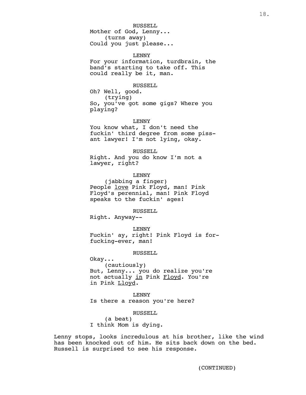Mother of God, Lenny... (turns away) Could you just please...

# LENNY

For your information, turdbrain, the band's starting to take off. This could really be it, man.

#### RUSSELL

Oh? Well, good. (trying) So, you've got some gigs? Where you playing?

#### LENNY

You know what, I don't need the fuckin' third degree from some pissant lawyer! I'm not lying, okay.

#### RUSSELL

Right. And you do know I'm not a lawyer, right?

# LENNY

(jabbing a finger) People love Pink Floyd, man! Pink Floyd's perennial, man! Pink Floyd speaks to the fuckin' ages!

# RUSSELL

Right. Anyway--

LENNY Fuckin' ay, right! Pink Floyd is forfucking-ever, man!

### RUSSELL

Okay... (cautiously) But, Lenny... you do realize you're not actually in Pink Floyd. You're in Pink Lloyd.

LENNY Is there a reason you're here?

# RUSSELL

(a beat) I think Mom is dying.

Lenny stops, looks incredulous at his brother, like the wind has been knocked out of him. He sits back down on the bed. Russell is surprised to see his response.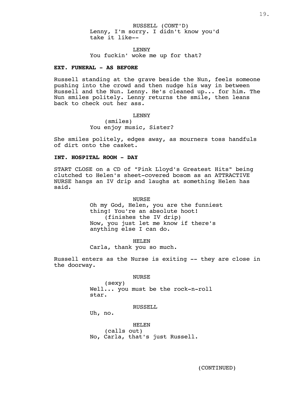RUSSELL (CONT'D) Lenny, I'm sorry. I didn't know you'd take it like--

LENNY You fuckin' woke me up for that?

#### **EXT. FUNERAL - AS BEFORE**

Russell standing at the grave beside the Nun, feels someone pushing into the crowd and then nudge his way in between Russell and the Nun. Lenny. He's cleaned up... for him. The Nun smiles politely. Lenny returns the smile, then leans back to check out her ass.

> LENNY (smiles) You enjoy music, Sister?

She smiles politely, edges away, as mourners toss handfuls of dirt onto the casket.

# **INT. HOSPITAL ROOM - DAY**

START CLOSE on a CD of "Pink Lloyd's Greatest Hits" being clutched to Helen's sheet-covered bosom as an ATTRACTIVE NURSE hangs an IV drip and laughs at something Helen has said.

> NURSE Oh my God, Helen, you are the funniest thing! You're an absolute hoot! (finishes the IV drip) Now, you just let me know if there's anything else I can do.

HELEN Carla, thank you so much.

Russell enters as the Nurse is exiting -- they are close in the doorway.

NURSE

(sexy) Well... you must be the rock-n-roll star.

#### RUSSELL

Uh, no.

HELEN (calls out) No, Carla, that's just Russell.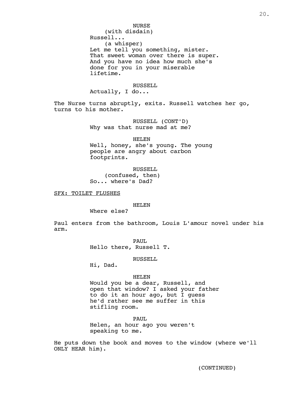# NURSE

(with disdain)

Russell...

(a whisper) Let me tell you something, mister. That sweet woman over there is super. And you have no idea how much she's done for you in your miserable lifetime.

# RUSSELL

Actually, I do...

The Nurse turns abruptly, exits. Russell watches her go, turns to his mother.

> RUSSELL (CONT'D) Why was that nurse mad at me?

> > HELEN

Well, honey, she's young. The young people are angry about carbon footprints.

RUSSELL (confused, then) So... where's Dad?

SFX: TOILET FLUSHES

HELEN

Where else?

Paul enters from the bathroom, Louis L'amour novel under his arm.

> PAUL Hello there, Russell T.

> > RUSSELL

Hi, Dad.

# HELEN

Would you be a dear, Russell, and open that window? I asked your father to do it an hour ago, but I guess he'd rather see me suffer in this stifling room.

PAUL Helen, an hour ago you weren't speaking to me.

He puts down the book and moves to the window (where we'll ONLY HEAR him).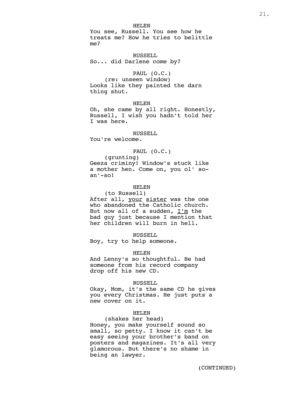HELEN

You see, Russell. You see how he treats me? How he tries to belittle me?

RUSSELL So... did Darlene come by?

# PAUL (O.C.)

(re: unseen window) Looks like they painted the darn thing shut.

# HELEN

Oh, she came by all right. Honestly, Russell, I wish you hadn't told her I was here.

### RUSSELL.

You're welcome.

#### PAUL (O.C.)

(grunting) Geeza criminy! Window's stuck like a mother hen. Come on, you ol' soan'-so!

# HELEN

(to Russell) After all, your sister was the one who abandoned the Catholic church. But now all of a sudden,  $I'm$  the bad guy just because I mention that her children will burn in hell.

#### RUSSELL

Boy, try to help someone.

#### HELEN

And Lenny's so thoughtful. He had someone from his record company drop off his new CD.

#### RUSSELL

Okay, Mom, it's the same CD he gives you every Christmas. He just puts a new cover on it.

# HELEN

(shakes her head) Honey, you make yourself sound so small, so petty. I know it can't be easy seeing your brother's band on posters and magazines. It's all very glamorous. But there's no shame in being an lawyer.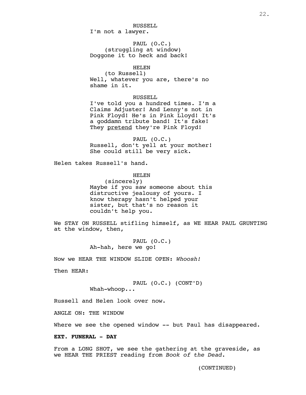RUSSELL I'm not a lawyer.

PAUL (O.C.) (struggling at window) Doggone it to heck and back!

# HELEN

(to Russell) Well, whatever you are, there's no shame in it.

#### RUSSELL.

I've told you a hundred times. I'm a Claims Adjuster! And Lenny's not in Pink Floyd! He's in Pink Lloyd! It's a goddamn tribute band! It's fake! They pretend they're Pink Floyd!

PAUL (O.C.) Russell, don't yell at your mother! She could still be very sick.

Helen takes Russell's hand.

# HELEN

(sincerely) Maybe if you saw someone about this distructive jealousy of yours. I know therapy hasn't helped your sister, but that's no reason it couldn't help you.

We STAY ON RUSSELL stifling himself, as WE HEAR PAUL GRUNTING at the window, then,

> PAUL (O.C.) Ah-hah, here we go!

Now we HEAR THE WINDOW SLIDE OPEN: *Whoosh!*

Then HEAR:

PAUL (O.C.) (CONT'D) Whah-whoop...

Russell and Helen look over now.

ANGLE ON: THE WINDOW

Where we see the opened window -- but Paul has disappeared.

#### **EXT. FUNERAL - DAY**

From a LONG SHOT, we see the gathering at the graveside, as we HEAR THE PRIEST reading from *Book of the Dead.*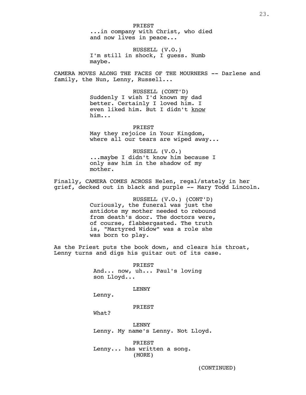**PRIEST** ...in company with Christ, who died and now lives in peace...

RUSSELL (V.O.) I'm still in shock, I guess. Numb maybe.

CAMERA MOVES ALONG THE FACES OF THE MOURNERS -- Darlene and family, the Nun, Lenny, Russell...

> RUSSELL (CONT'D) Suddenly I wish I'd known my dad better. Certainly I loved him. I even liked him. But I didn't know him...

PRIEST May they rejoice in Your Kingdom, where all our tears are wiped away...

RUSSELL (V.O.) ...maybe I didn't know him because I only saw him in the shadow of my mother.

Finally, CAMERA COMES ACROSS Helen, regal/stately in her grief, decked out in black and purple -- Mary Todd Lincoln.

> RUSSELL (V.O.) (CONT'D) Curiously, the funeral was just the antidote my mother needed to rebound from death's door. The doctors were, of course, flabbergasted. The truth is, "Martyred Widow" was a role she was born to play.

As the Priest puts the book down, and clears his throat, Lenny turns and digs his guitar out of its case.

> **PRIEST** And... now, uh... Paul's loving son Lloyd...

> > LENNY

Lenny.

PRIEST

What?

LENNY Lenny. My name's Lenny. Not Lloyd.

PRIEST Lenny... has written a song. (MORE)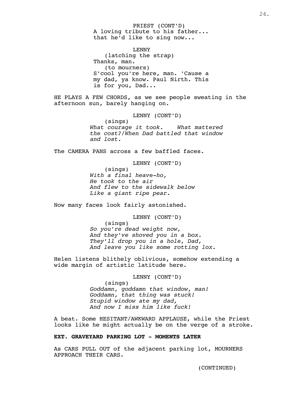PRIEST (CONT'D) A loving tribute to his father... that he'd like to sing now...

LENNY (latching the strap) Thanks, man. (to mourners) S'cool you're here, man. 'Cause a my dad, ya know. Paul Nirth. This is for you, Dad...

HE PLAYS A FEW CHORDS, as we see people sweating in the afternoon sun, barely hanging on.

LENNY (CONT'D)

(sings) *What courage it took. What mattered the cost?/When Dad battled that window and lost.*

The CAMERA PANS across a few baffled faces.

LENNY (CONT'D)

(sings) *With a final heave-ho, He took to the air And flew to the sidewalk below Like a giant ripe pear.* 

Now many faces look fairly astonished.

LENNY (CONT'D)

(sings) *So you're dead weight now, And they've shoved you in a box. They'll drop you in a hole, Dad, And leave you like some rotting lox.*

Helen listens blithely oblivious, somehow extending a wide margin of artistic latitude here.

# LENNY (CONT'D)

(sings) *Goddamn, goddamn that window, man! Goddamn, that thing was stuck! Stupid window ate my dad, And now I miss him like fuck!*

A beat. Some HESITANT/AWKWARD APPLAUSE, while the Priest looks like he might actually be on the verge of a stroke.

# **EXT. GRAVEYARD PARKING LOT - MOMENTS LATER**

As CARS PULL OUT of the adjacent parking lot, MOURNERS APPROACH THEIR CARS.

24.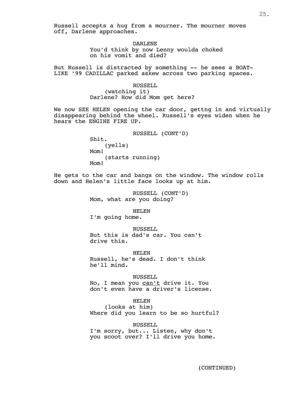Russell accepts a hug from a mourner. The mourner moves off, Darlene approaches.

> DARLENE You'd think by now Lenny woulda choked on his vomit and died?

But Russell is distracted by something -- he sees a BOAT-LIKE '99 CADILLAC parked askew across two parking spaces.

> RUSSELL (watching it) Darlene? How did Mom get here?

We now SEE HELEN opening the car door, gettng in and virtually disappearing behind the wheel. Russell's eyes widen when he hears the ENGINE FIRE UP.

> RUSSELL (CONT'D) Shit. (yells) Mom! (starts running) Mom!

He gets to the car and bangs on the window. The window rolls down and Helen's little face looks up at him.

> RUSSELL (CONT'D) Mom, what are you doing?

> > HELEN

I'm going home.

RUSSELL But this is dad's car. You can't drive this.

HELEN Russell, he's dead. I don't think he'll mind.

RUSSELL No, I mean you can't drive it. You don't even have a driver's license.

HELEN (looks at him) Where did you learn to be so hurtful?

RUSSELL I'm sorry, but... Listen, why don't you scoot over? I'll drive you home.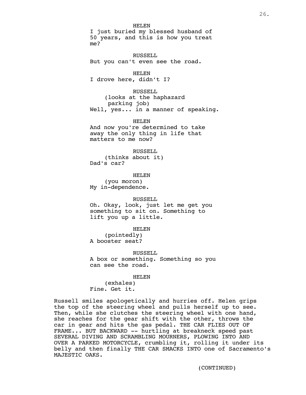#### HELEN

I just buried my blessed husband of 50 years, and this is how you treat me?

RUSSELL But you can't even see the road.

HELEN I drove here, didn't I?

RUSSELL (looks at the haphazard parking job) Well, yes... in a manner of speaking.

HELEN And now you're determined to take away the only thing in life that matters to me now?

RUSSELL (thinks about it) Dad's car?

HELEN (you moron) My in-dependence.

#### RUSSELL

Oh. Okay, look, just let me get you something to sit on. Something to lift you up a little.

HELEN

(pointedly) A booster seat?

RUSSELL A box or something. Something so you can see the road.

HELEN

(exhales) Fine. Get it.

Russell smiles apologetically and hurries off. Helen grips the top of the steering wheel and pulls herself up to see. Then, while she clutches the steering wheel with one hand, she reaches for the gear shift with the other, throws the car in gear and hits the gas pedal. THE CAR FLIES OUT OF FRAME... BUT BACKWARD -- hurtling at breakneck speed past SEVERAL DIVING AND SCRAMBLING MOURNERS, PLOWING INTO AND OVER A PARKED MOTORCYCLE, crumbling it, rolling it under its belly and then finally THE CAR SMACKS INTO one of Sacramento's MAJESTIC OAKS.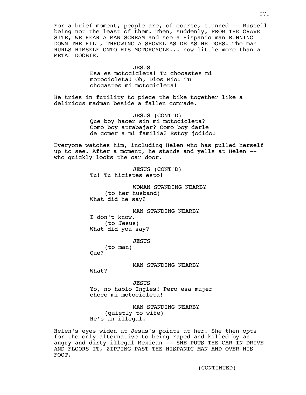For a brief moment, people are, of course, stunned -- Russell being not the least of them. Then, suddenly, FROM THE GRAVE SITE, WE HEAR A MAN SCREAM and see a Hispanic man RUNNING DOWN THE HILL, THROWING A SHOVEL ASIDE AS HE DOES. The man HURLS HIMSELF ONTO HIS MOTORCYCLE... now little more than a METAL DOOBIE.

**JESUS** 

Esa es motocicleta! Tu chocastes mi motocicleta! Oh, Dios Mio! Tu chocastes mi motocicleta!

He tries in futility to piece the bike together like a delirious madman beside a fallen comrade.

> JESUS (CONT'D) Que boy hacer sin mi motocicleta? Como boy atrabajar? Como boy darle de comer a mi familia? Estoy jodido!

Everyone watches him, including Helen who has pulled herself up to see. After a moment, he stands and yells at Helen - who quickly locks the car door.

> JESUS (CONT'D) Tu! Tu hicistes esto!

WOMAN STANDING NEARBY (to her husband) What did he say?

MAN STANDING NEARBY I don't know. (to Jesus) What did you say?

**JESUS** 

(to man) Oue?

MAN STANDING NEARBY

What?

JESUS Yo, no hablo Ingles! Pero esa mujer choco mi motocicleta!

MAN STANDING NEARBY (quietly to wife) He's an illegal.

Helen's eyes widen at Jesus's points at her. She then opts for the only alternative to being raped and killed by an angry and dirty illegal Mexican -- SHE PUTS THE CAR IN DRIVE AND FLOORS IT, ZIPPING PAST THE HISPANIC MAN AND OVER HIS FOOT.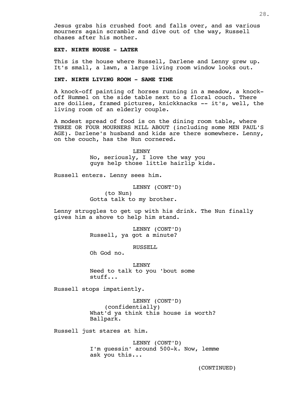Jesus grabs his crushed foot and falls over, and as various mourners again scramble and dive out of the way, Russell chases after his mother.

# **EXT. NIRTH HOUSE - LATER**

This is the house where Russell, Darlene and Lenny grew up. It's small, a lawn, a large living room window looks out.

# **INT. NIRTH LIVING ROOM - SAME TIME**

A knock-off painting of horses running in a meadow, a knockoff Hummel on the side table next to a floral couch. There are doilies, framed pictures, knickknacks -- it's, well, the living room of an elderly couple.

A modest spread of food is on the dining room table, where THREE OR FOUR MOURNERS MILL ABOUT (including some MEN PAUL'S AGE). Darlene's husband and kids are there somewhere. Lenny, on the couch, has the Nun cornered.

> LENNY No, seriously, I love the way you guys help those little hairlip kids.

Russell enters. Lenny sees him.

LENNY (CONT'D) (to Nun) Gotta talk to my brother.

Lenny struggles to get up with his drink. The Nun finally gives him a shove to help him stand.

> LENNY (CONT'D) Russell, ya got a minute?

> > RUSSELL

Oh God no.

LENNY Need to talk to you 'bout some stuff...

Russell stops impatiently.

LENNY (CONT'D) (confidentially) What'd ya think this house is worth? Ballpark.

Russell just stares at him.

LENNY (CONT'D) I'm guessin' around 500-k. Now, lemme ask you this...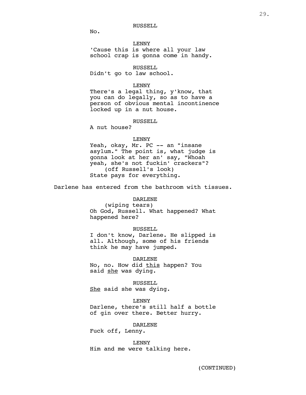RUSSELL

No.

LENNY 'Cause this is where all your law school crap is gonna come in handy.

RUSSELL Didn't go to law school.

#### LENNY

There's a legal thing, y'know, that you can do legally, so as to have a person of obvious mental incontinence locked up in a nut house.

# RUSSELL

A nut house?

#### LENNY

Yeah, okay, Mr. PC -- an "insane asylum." The point is, what judge is gonna look at her an' say, "Whoah yeah, she's not fuckin' crackers"? (off Russell's look) State pays for everything.

Darlene has entered from the bathroom with tissues.

# DARLENE

(wiping tears) Oh God, Russell. What happened? What happened here?

#### RUSSELL

I don't know, Darlene. He slipped is all. Although, some of his friends think he may have jumped.

DARLENE No, no. How did this happen? You said she was dying.

RUSSELL She said she was dying.

#### LENNY

Darlene, there's still half a bottle of gin over there. Better hurry.

DARLENE

Fuck off, Lenny.

LENNY Him and me were talking here.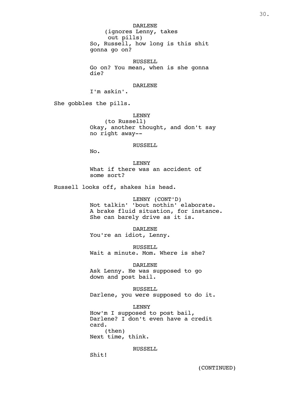DARLENE (ignores Lenny, takes out pills) So, Russell, how long is this shit gonna go on?

RUSSELL Go on? You mean, when is she gonna die?

DARLENE

I'm askin'.

She gobbles the pills.

LENNY (to Russell) Okay, another thought, and don't say no right away--

#### RUSSELL

No.

LENNY What if there was an accident of some sort?

Russell looks off, shakes his head.

LENNY (CONT'D)

Not talkin' 'bout nothin' elaborate. A brake fluid situation, for instance. She can barely drive as it is.

DARLENE You're an idiot, Lenny.

RUSSELL Wait a minute. Mom. Where is she?

DARLENE

Ask Lenny. He was supposed to go down and post bail.

RUSSELL Darlene, you were supposed to do it.

LENNY How'm I supposed to post bail, Darlene? I don't even have a credit card. (then) Next time, think.

RUSSELL

Shit!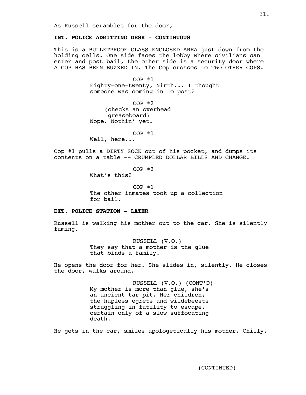# **INT. POLICE ADMITTING DESK - CONTINUOUS**

This is a BULLETPROOF GLASS ENCLOSED AREA just down from the holding cells. One side faces the lobby where civilians can enter and post bail, the other side is a security door where A COP HAS BEEN BUZZED IN. The Cop crosses to TWO OTHER COPS.

> COP #1 Eighty-one-twenty, Nirth... I thought someone was coming in to post?

COP #2 (checks an overhead greaseboard) Nope. Nothin' yet.

COP #1

Well, here...

Cop #1 pulls a DIRTY SOCK out of his pocket, and dumps its contents on a table -- CRUMPLED DOLLAR BILLS AND CHANGE.

COP #2

What's this?

COP #1 The other inmates took up a collection for bail.

# **EXT. POLICE STATION - LATER**

Russell is walking his mother out to the car. She is silently fuming.

> RUSSELL (V.O.) They say that a mother is the glue that binds a family.

He opens the door for her. She slides in, silently. He closes the door, walks around.

> RUSSELL (V.O.) (CONT'D) My mother is more than glue, she's an ancient tar pit. Her children, the hapless egrets and wildebeests struggling in futility to escape, certain only of a slow suffocating death.

He gets in the car, smiles apologetically his mother. Chilly.